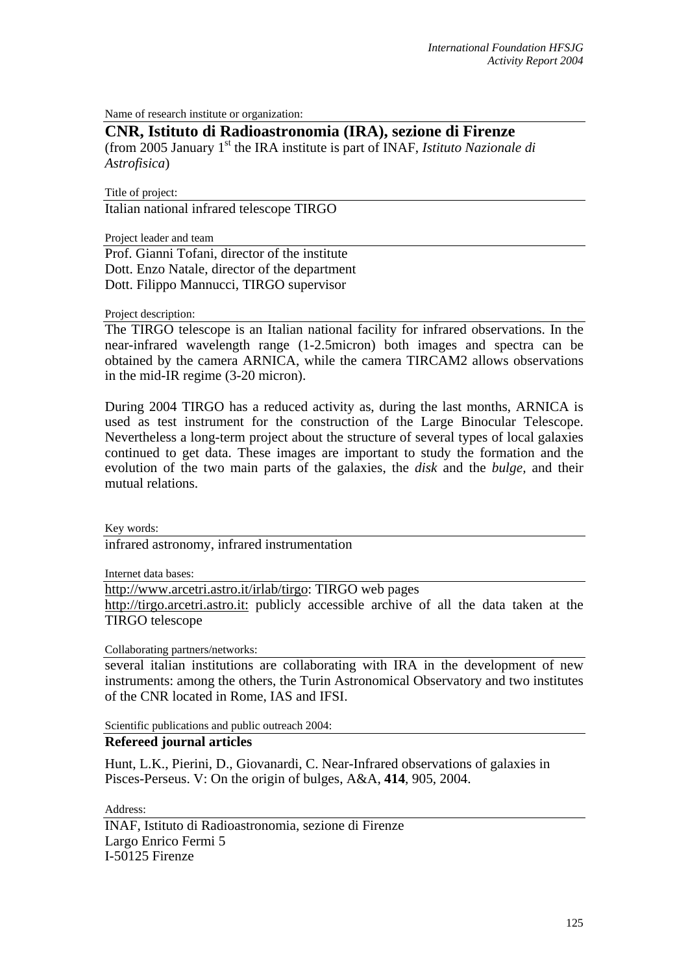Name of research institute or organization:

## **CNR, Istituto di Radioastronomia (IRA), sezione di Firenze**

(from 2005 January 1st the IRA institute is part of INAF, *Istituto Nazionale di Astrofisica*)

Title of project:

Italian national infrared telescope TIRGO

Project leader and team

Prof. Gianni Tofani, director of the institute Dott. Enzo Natale, director of the department Dott. Filippo Mannucci, TIRGO supervisor

Project description:

The TIRGO telescope is an Italian national facility for infrared observations. In the near-infrared wavelength range (1-2.5micron) both images and spectra can be obtained by the camera ARNICA, while the camera TIRCAM2 allows observations in the mid-IR regime (3-20 micron).

During 2004 TIRGO has a reduced activity as, during the last months, ARNICA is used as test instrument for the construction of the Large Binocular Telescope. Nevertheless a long-term project about the structure of several types of local galaxies continued to get data. These images are important to study the formation and the evolution of the two main parts of the galaxies, the *disk* and the *bulge,* and their mutual relations.

Key words: infrared astronomy, infrared instrumentation

Internet data bases:

[http://www.arcetri.astro.it/irlab/tirgo: TIRGO web pages](http://www.arcetri.astro.it/irlab/tirgo) 

[http://tirgo.arcetri.astro.it](http://www.arcetri.astro.it/irlab/tirgo)[: publicly accessible archive](http://tirgo.arcetri.astro.it/) of all the data taken at the TIRGO telescope

Collaborating partners/networks:

several italian institutions are collaborating with IRA in the development of new instruments: among the others, the Turin Astronomical Observatory and two institutes of the CNR located in Rome, IAS and IFSI.

Scientific publications and public outreach 2004:

## **Refereed journal articles**

Hunt, L.K., Pierini, D., Giovanardi, C. Near-Infrared observations of galaxies in Pisces-Perseus. V: On the origin of bulges, A&A, **414**, 905, 2004.

Address: